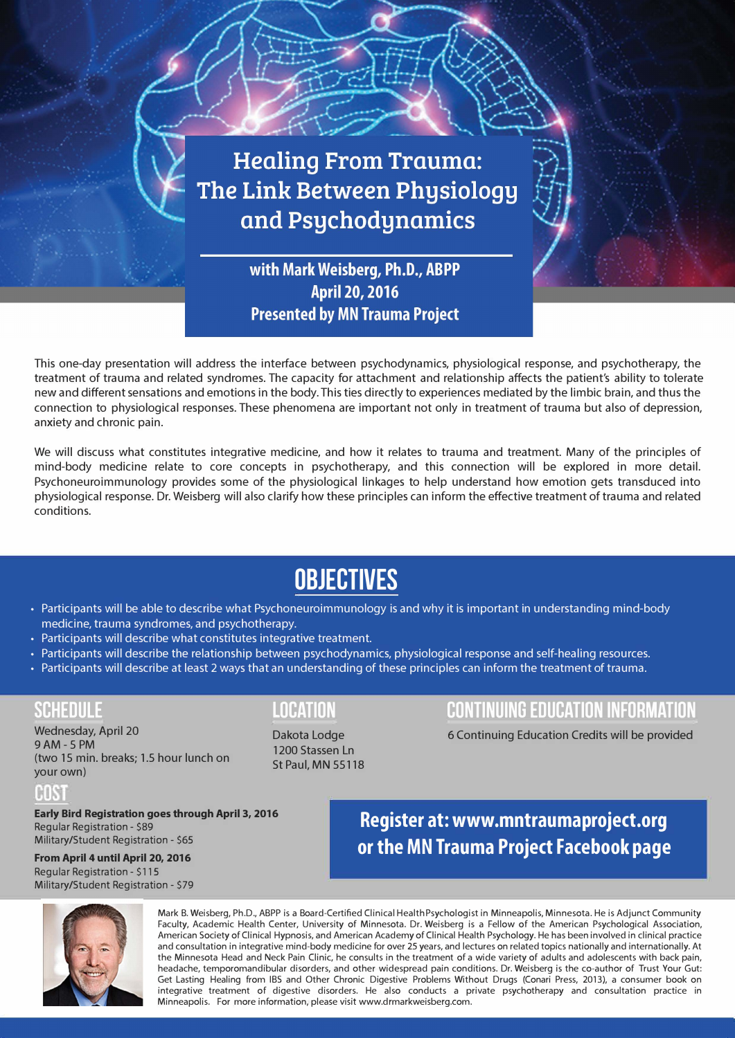

This one-day presentation will address the interface between psychodynamics, physiological response, and psychotherapy, the treatment of trauma and related syndromes. The capacity for attachment and relationship affects the patient's ability to tolerate new and different sensations and emotions in the body. This ties directly to experiences mediated by the limbic brain, and thus the connection to physiological responses. These phenomena are important not only in treatment of trauma but also of depression, anxiety and chronic pain.

We will discuss what constitutes integrative medicine, and how it relates to trauma and treatment. Many of the principles of mind-body medicine relate to core concepts in psychotherapy, and this connection will be explored in more detail. Psychoneuroimmunology provides some of the physiological linkages to help understand how emotion gets transduced into physiological response. Dr. Weisberg will also clarify how these principles can inform the effective treatment of trauma and related conditions.

## **OBJECTIVES**

- Participants will be able to describe what Psychoneuroimmunology is and why it is important in understanding mind-body medicine, trauma syndromes, and psychotherapy.
- Participants will describe what constitutes integrative treatment.
- Participants will describe the relationship between psychodynamics, physiological response and self-healing resources.
- Participants will describe at least 2 ways that an understanding of these principles can inform the treatment of trauma.

9AM - 5 PM (two 15 min. breaks; 1.5 hour lunch on your own)

#### IHIN

**Early Bird Registration goes through April 3, 2016**  Regular Registration - \$89 Military/Student Registration - \$65

### **From April 4 until April 20, 2016**  Regular Registration - \$115

Military/Student Registration - \$79

Dakota Lodge 1200 Stassen Ln St Paul, MN 55118

## **SCHEDULE LOCATION CONTINUING EDUCATION INFORMATION**

Wednesday, April 20 **Continuing Education Credits will be provided** April 20

**Register at:<www.mntraumaproject.org> or the [MN Trauma Project Facebook page](https://www.facebook.com/mntraumaproject?skip_nax_wizard=true&ref_type=logout_gear)** 



Mark B. Weisberg, Ph.D., ABPP is a Board-Certified Clinical HealthPsychologist in Minneapolis, Minnesota. He is Adjunct Community Faculty, Academic Health Center, University of Minnesota. Dr. Weisberg is a Fellow of the American Psychological Association, American Society of Clinical Hypnosis, and American Academy of Clinical Health Psychology. He has been involved in clinical practice and consultation in integrative mind-body medicine for over 25 years, and lectures on related topics nationally and internationally. At the Minnesota Head and Neck Pain Clinic, he consults in the treatment of a wide variety of adults and adolescents with back pain, headache, temporomandibular disorders, and other widespread pain conditions. Dr. Weisberg is the co-author of Trust Your Gut: Get Lasting Healing from IBS and Other Chronic Digestive Problems Without Drugs (Conari Press, 2013), a consumer book on integrative treatment of digestive disorders. He also conducts a private psychotherapy and consultation practice in Minneapolis. For more information, please visit [www.drmarkweisberg.com.](www.drmarkweisberg.com)